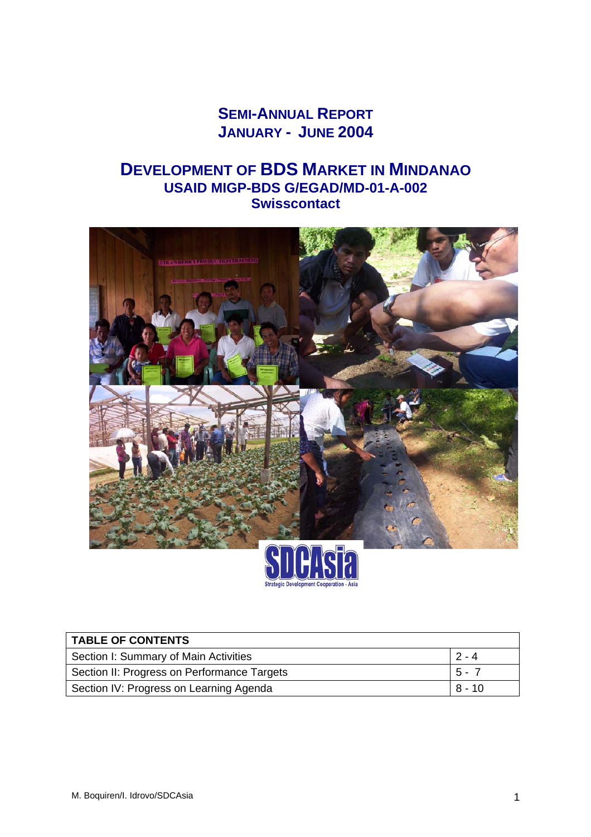# **SEMI-ANNUAL REPORT JANUARY - JUNE 2004**

# **DEVELOPMENT OF BDS MARKET IN MINDANAO USAID MIGP-BDS G/EGAD/MD-01-A-002 Swisscontact**





| <b>TABLE OF CONTENTS</b>                    |          |
|---------------------------------------------|----------|
| Section I: Summary of Main Activities       | $12 - 4$ |
| Section II: Progress on Performance Targets | $5 - 7$  |
| Section IV: Progress on Learning Agenda     | 8 - 10   |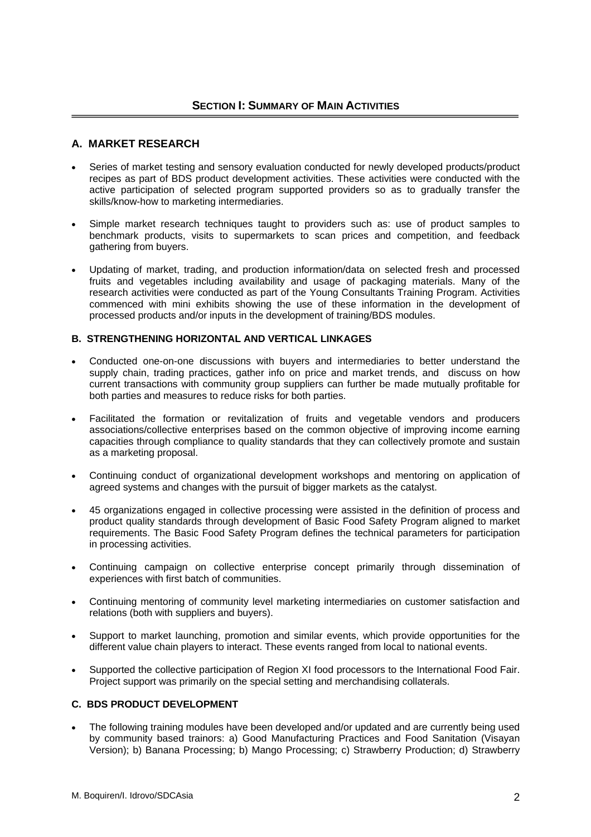# **A. MARKET RESEARCH**

- Series of market testing and sensory evaluation conducted for newly developed products/product recipes as part of BDS product development activities. These activities were conducted with the active participation of selected program supported providers so as to gradually transfer the skills/know-how to marketing intermediaries.
- Simple market research techniques taught to providers such as: use of product samples to benchmark products, visits to supermarkets to scan prices and competition, and feedback gathering from buyers.
- Updating of market, trading, and production information/data on selected fresh and processed fruits and vegetables including availability and usage of packaging materials. Many of the research activities were conducted as part of the Young Consultants Training Program. Activities commenced with mini exhibits showing the use of these information in the development of processed products and/or inputs in the development of training/BDS modules.

# **B. STRENGTHENING HORIZONTAL AND VERTICAL LINKAGES**

- Conducted one-on-one discussions with buyers and intermediaries to better understand the supply chain, trading practices, gather info on price and market trends, and discuss on how current transactions with community group suppliers can further be made mutually profitable for both parties and measures to reduce risks for both parties.
- Facilitated the formation or revitalization of fruits and vegetable vendors and producers associations/collective enterprises based on the common objective of improving income earning capacities through compliance to quality standards that they can collectively promote and sustain as a marketing proposal.
- Continuing conduct of organizational development workshops and mentoring on application of agreed systems and changes with the pursuit of bigger markets as the catalyst.
- 45 organizations engaged in collective processing were assisted in the definition of process and product quality standards through development of Basic Food Safety Program aligned to market requirements. The Basic Food Safety Program defines the technical parameters for participation in processing activities.
- Continuing campaign on collective enterprise concept primarily through dissemination of experiences with first batch of communities.
- Continuing mentoring of community level marketing intermediaries on customer satisfaction and relations (both with suppliers and buyers).
- Support to market launching, promotion and similar events, which provide opportunities for the different value chain players to interact. These events ranged from local to national events.
- Supported the collective participation of Region XI food processors to the International Food Fair. Project support was primarily on the special setting and merchandising collaterals.

# **C. BDS PRODUCT DEVELOPMENT**

• The following training modules have been developed and/or updated and are currently being used by community based trainors: a) Good Manufacturing Practices and Food Sanitation (Visayan Version); b) Banana Processing; b) Mango Processing; c) Strawberry Production; d) Strawberry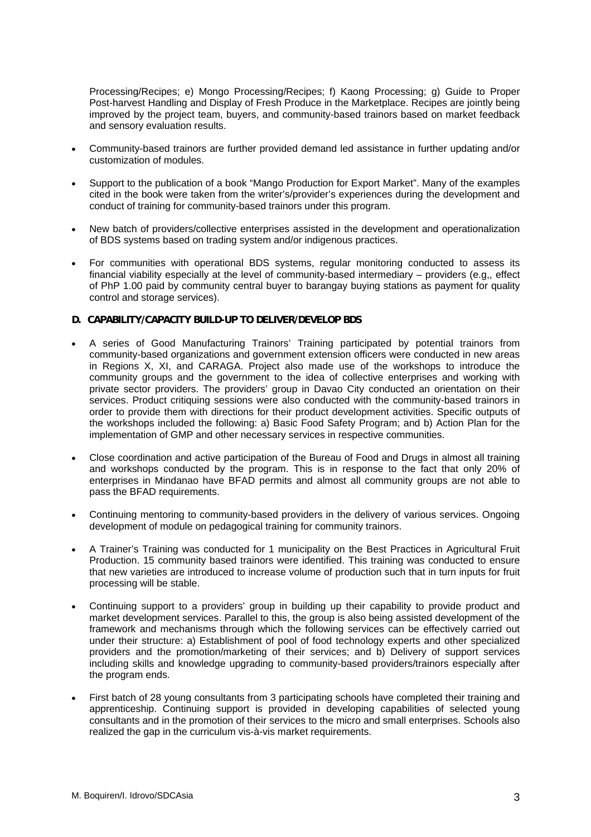Processing/Recipes; e) Mongo Processing/Recipes; f) Kaong Processing; g) Guide to Proper Post-harvest Handling and Display of Fresh Produce in the Marketplace. Recipes are jointly being improved by the project team, buyers, and community-based trainors based on market feedback and sensory evaluation results.

- Community-based trainors are further provided demand led assistance in further updating and/or customization of modules.
- Support to the publication of a book "Mango Production for Export Market". Many of the examples cited in the book were taken from the writer's/provider's experiences during the development and conduct of training for community-based trainors under this program.
- New batch of providers/collective enterprises assisted in the development and operationalization of BDS systems based on trading system and/or indigenous practices.
- For communities with operational BDS systems, regular monitoring conducted to assess its financial viability especially at the level of community-based intermediary – providers (e.g,, effect of PhP 1.00 paid by community central buyer to barangay buying stations as payment for quality control and storage services).

### **D. CAPABILITY/CAPACITY BUILD-UP TO DELIVER/DEVELOP BDS**

- A series of Good Manufacturing Trainors' Training participated by potential trainors from community-based organizations and government extension officers were conducted in new areas in Regions X, XI, and CARAGA. Project also made use of the workshops to introduce the community groups and the government to the idea of collective enterprises and working with private sector providers. The providers' group in Davao City conducted an orientation on their services. Product critiquing sessions were also conducted with the community-based trainors in order to provide them with directions for their product development activities. Specific outputs of the workshops included the following: a) Basic Food Safety Program; and b) Action Plan for the implementation of GMP and other necessary services in respective communities.
- Close coordination and active participation of the Bureau of Food and Drugs in almost all training and workshops conducted by the program. This is in response to the fact that only 20% of enterprises in Mindanao have BFAD permits and almost all community groups are not able to pass the BFAD requirements.
- Continuing mentoring to community-based providers in the delivery of various services. Ongoing development of module on pedagogical training for community trainors.
- A Trainer's Training was conducted for 1 municipality on the Best Practices in Agricultural Fruit Production. 15 community based trainors were identified. This training was conducted to ensure that new varieties are introduced to increase volume of production such that in turn inputs for fruit processing will be stable.
- Continuing support to a providers' group in building up their capability to provide product and market development services. Parallel to this, the group is also being assisted development of the framework and mechanisms through which the following services can be effectively carried out under their structure: a) Establishment of pool of food technology experts and other specialized providers and the promotion/marketing of their services; and b) Delivery of support services including skills and knowledge upgrading to community-based providers/trainors especially after the program ends.
- First batch of 28 young consultants from 3 participating schools have completed their training and apprenticeship. Continuing support is provided in developing capabilities of selected young consultants and in the promotion of their services to the micro and small enterprises. Schools also realized the gap in the curriculum vis-à-vis market requirements.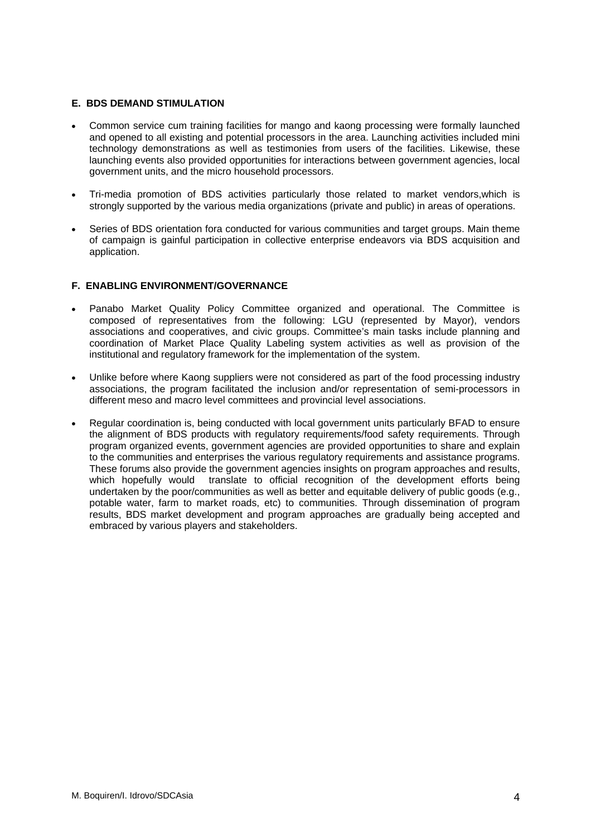# **E. BDS DEMAND STIMULATION**

- Common service cum training facilities for mango and kaong processing were formally launched • and opened to all existing and potential processors in the area. Launching activities included mini technology demonstrations as well as testimonies from users of the facilities. Likewise, these launching events also provided opportunities for interactions between government agencies, local government units, and the micro household processors.
- Tri-media promotion of BDS activities particularly those related to market vendors,which is • strongly supported by the various media organizations (private and public) in areas of operations.
- Series of BDS orientation fora conducted for various communities and target groups. Main theme • of campaign is gainful participation in collective enterprise endeavors via BDS acquisition and application.

# **. ENABLING ENVIRONMENT/GOVERNANCE F**

- Panabo Market Quality Policy Committee organized and operational. The Committee is composed of representatives from the following: LGU (represented by Mayor), vendors associations and cooperatives, and civic groups. Committee's main tasks include planning and coordination of Market Place Quality Labeling system activities as well as provision of the institutional and regulatory framework for the implementation of the system.
- Unlike before where Kaong suppliers were not considered as part of the food processing industry associations, the program facilitated the inclusion and/or representation of semi-processors in different meso and macro level committees and provincial level associations.
- Regular coordination is, being conducted with local government units particularly BFAD to ensure the alignment of BDS products with regulatory requirements/food safety requirements. Through program organized events, government agencies are provided opportunities to share and explain to the communities and enterprises the various regulatory requirements and assistance programs. These forums also provide the government agencies insights on program approaches and results, which hopefully would translate to official recognition of the development efforts being undertaken by the poor/communities as well as better and equitable delivery of public goods (e.g., potable water, farm to market roads, etc) to communities. Through dissemination of program results, BDS market development and program approaches are gradually being accepted and embraced by various players and stakeholders.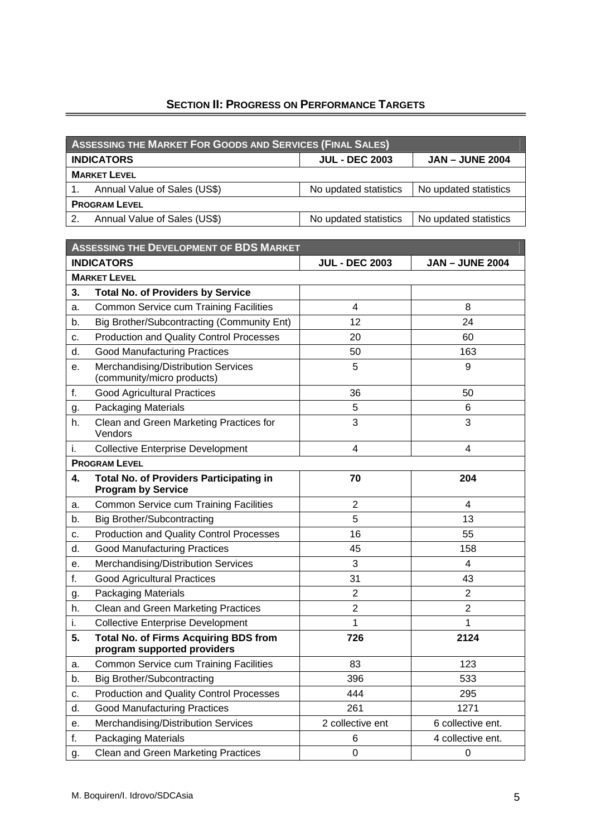# **SECTION II: PROGRESS ON PERFORMANCE TARGETS**

| ASSESSING THE MARKET FOR GOODS AND SERVICES (FINAL SALES) |                                                                      |                       |                       |
|-----------------------------------------------------------|----------------------------------------------------------------------|-----------------------|-----------------------|
|                                                           | <b>INDICATORS</b><br><b>JAN – JUNE 2004</b><br><b>JUL - DEC 2003</b> |                       |                       |
| <b>MARKET LEVEL</b>                                       |                                                                      |                       |                       |
|                                                           | Annual Value of Sales (US\$)                                         | No updated statistics | No updated statistics |
| <b>PROGRAM LEVEL</b>                                      |                                                                      |                       |                       |
| 2.                                                        | Annual Value of Sales (US\$)                                         | No updated statistics | No updated statistics |

| <b>ASSESSING THE DEVELOPMENT OF BDS MARKET</b> |                                                                             |                  |                         |  |
|------------------------------------------------|-----------------------------------------------------------------------------|------------------|-------------------------|--|
|                                                | <b>INDICATORS</b><br><b>JUL - DEC 2003</b><br><b>JAN - JUNE 2004</b>        |                  |                         |  |
|                                                | <b>MARKET LEVEL</b>                                                         |                  |                         |  |
| 3.                                             | <b>Total No. of Providers by Service</b>                                    |                  |                         |  |
| a.                                             | <b>Common Service cum Training Facilities</b>                               | 4                | 8                       |  |
| b.                                             | <b>Big Brother/Subcontracting (Community Ent)</b>                           | 12               | 24                      |  |
| c.                                             | <b>Production and Quality Control Processes</b>                             | 20               | 60                      |  |
| d.                                             | <b>Good Manufacturing Practices</b>                                         | 50               | 163                     |  |
| е.                                             | Merchandising/Distribution Services<br>(community/micro products)           | 5                | 9                       |  |
| f.                                             | <b>Good Agricultural Practices</b>                                          | 36               | 50                      |  |
| g.                                             | <b>Packaging Materials</b>                                                  | 5                | 6                       |  |
| h.                                             | Clean and Green Marketing Practices for<br>Vendors                          | 3                | 3                       |  |
| i.                                             | <b>Collective Enterprise Development</b>                                    | 4                | 4                       |  |
|                                                | <b>PROGRAM LEVEL</b>                                                        |                  |                         |  |
| 4.                                             | <b>Total No. of Providers Participating in</b><br><b>Program by Service</b> | 70               | 204                     |  |
| a.                                             | <b>Common Service cum Training Facilities</b>                               | $\overline{2}$   | 4                       |  |
| b.                                             | <b>Big Brother/Subcontracting</b>                                           | 5                | 13                      |  |
| c.                                             | <b>Production and Quality Control Processes</b>                             | 16               | 55                      |  |
| d.                                             | <b>Good Manufacturing Practices</b>                                         | 45               | 158                     |  |
| е.                                             | Merchandising/Distribution Services                                         | 3                | $\overline{\mathbf{4}}$ |  |
| f.                                             | <b>Good Agricultural Practices</b>                                          | 31               | 43                      |  |
| g.                                             | <b>Packaging Materials</b>                                                  | $\overline{2}$   | $\overline{2}$          |  |
| h.                                             | <b>Clean and Green Marketing Practices</b>                                  | $\overline{2}$   | $\overline{2}$          |  |
| i.                                             | <b>Collective Enterprise Development</b>                                    | 1                | 1                       |  |
| 5.                                             | <b>Total No. of Firms Acquiring BDS from</b><br>program supported providers | 726              | 2124                    |  |
| a.                                             | <b>Common Service cum Training Facilities</b>                               | 83               | 123                     |  |
| b.                                             | <b>Big Brother/Subcontracting</b>                                           | 396              | 533                     |  |
| c.                                             | Production and Quality Control Processes                                    | 444              | 295                     |  |
| d.                                             | <b>Good Manufacturing Practices</b>                                         | 261              | 1271                    |  |
| е.                                             | Merchandising/Distribution Services                                         | 2 collective ent | 6 collective ent.       |  |
| f.                                             | <b>Packaging Materials</b>                                                  | 6                | 4 collective ent.       |  |
| g.                                             | <b>Clean and Green Marketing Practices</b>                                  | 0                | $\boldsymbol{0}$        |  |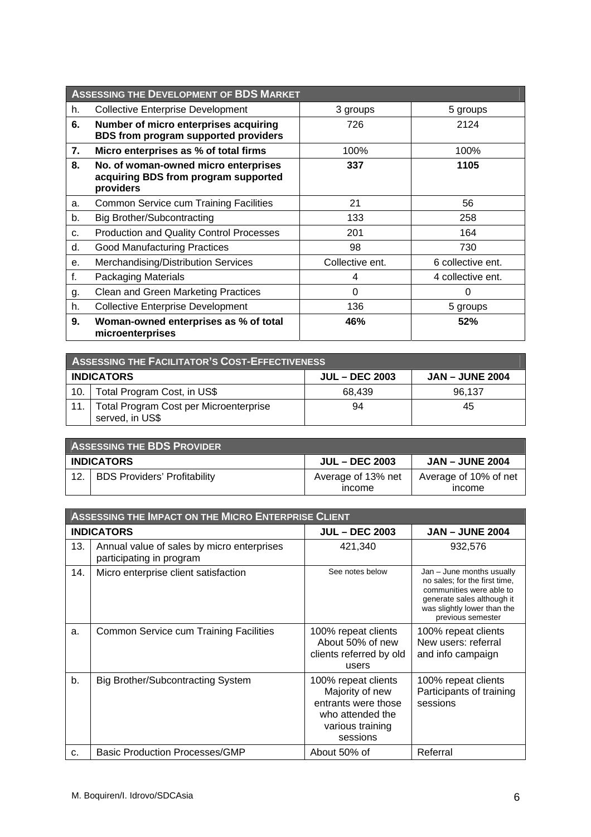| ASSESSING THE DEVELOPMENT OF BDS MARKET |                                                                                           |                 |                   |
|-----------------------------------------|-------------------------------------------------------------------------------------------|-----------------|-------------------|
| h.                                      | <b>Collective Enterprise Development</b>                                                  | 3 groups        | 5 groups          |
| 6.                                      | Number of micro enterprises acquiring<br>BDS from program supported providers             | 726             | 2124              |
| 7.                                      | Micro enterprises as % of total firms                                                     | 100%            | 100%              |
| 8.                                      | No. of woman-owned micro enterprises<br>acquiring BDS from program supported<br>providers | 337             | 1105              |
| a.                                      | <b>Common Service cum Training Facilities</b>                                             | 21              | 56                |
| b.                                      | Big Brother/Subcontracting                                                                | 133             | 258               |
| c.                                      | <b>Production and Quality Control Processes</b>                                           | 201             | 164               |
| d.                                      | <b>Good Manufacturing Practices</b>                                                       | 98              | 730               |
| е.                                      | Merchandising/Distribution Services                                                       | Collective ent. | 6 collective ent. |
| f.                                      | <b>Packaging Materials</b>                                                                | 4               | 4 collective ent. |
| g.                                      | <b>Clean and Green Marketing Practices</b>                                                | 0               | 0                 |
| h.                                      | <b>Collective Enterprise Development</b>                                                  | 136             | 5 groups          |
| 9.                                      | Woman-owned enterprises as % of total<br>microenterprises                                 | 46%             | 52%               |

| ASSESSING THE FACILITATOR'S COST-EFFECTIVENESS                       |                                                           |        |        |
|----------------------------------------------------------------------|-----------------------------------------------------------|--------|--------|
| <b>INDICATORS</b><br><b>JAN – JUNE 2004</b><br><b>JUL – DEC 2003</b> |                                                           |        |        |
| 10.                                                                  | Total Program Cost, in US\$                               | 68.439 | 96.137 |
| 11.1                                                                 | Total Program Cost per Microenterprise<br>served, in US\$ | 94     | 45     |

| ASSESSING THE BDS PROVIDER |                                     |                              |                                 |
|----------------------------|-------------------------------------|------------------------------|---------------------------------|
|                            | <b>INDICATORS</b>                   | <b>JUL – DEC 2003</b>        | <b>JAN – JUNE 2004</b>          |
| 12.                        | <b>BDS Providers' Profitability</b> | Average of 13% net<br>income | Average of 10% of net<br>income |

| <b>ASSESSING THE IMPACT ON THE MICRO ENTERPRISE CLIENT</b> |                                                                        |                                                                                                                   |                                                                                                                                                                          |
|------------------------------------------------------------|------------------------------------------------------------------------|-------------------------------------------------------------------------------------------------------------------|--------------------------------------------------------------------------------------------------------------------------------------------------------------------------|
|                                                            | <b>INDICATORS</b>                                                      | <b>JUL - DEC 2003</b>                                                                                             | <b>JAN - JUNE 2004</b>                                                                                                                                                   |
| 13.                                                        | Annual value of sales by micro enterprises<br>participating in program | 421,340                                                                                                           | 932,576                                                                                                                                                                  |
| 14.                                                        | Micro enterprise client satisfaction                                   | See notes below                                                                                                   | Jan - June months usually<br>no sales; for the first time,<br>communities were able to<br>generate sales although it<br>was slightly lower than the<br>previous semester |
| a.                                                         | Common Service cum Training Facilities                                 | 100% repeat clients<br>About 50% of new<br>clients referred by old<br>users                                       | 100% repeat clients<br>New users: referral<br>and info campaign                                                                                                          |
| b.                                                         | <b>Big Brother/Subcontracting System</b>                               | 100% repeat clients<br>Majority of new<br>entrants were those<br>who attended the<br>various training<br>sessions | 100% repeat clients<br>Participants of training<br>sessions                                                                                                              |
| c.                                                         | <b>Basic Production Processes/GMP</b>                                  | About 50% of                                                                                                      | Referral                                                                                                                                                                 |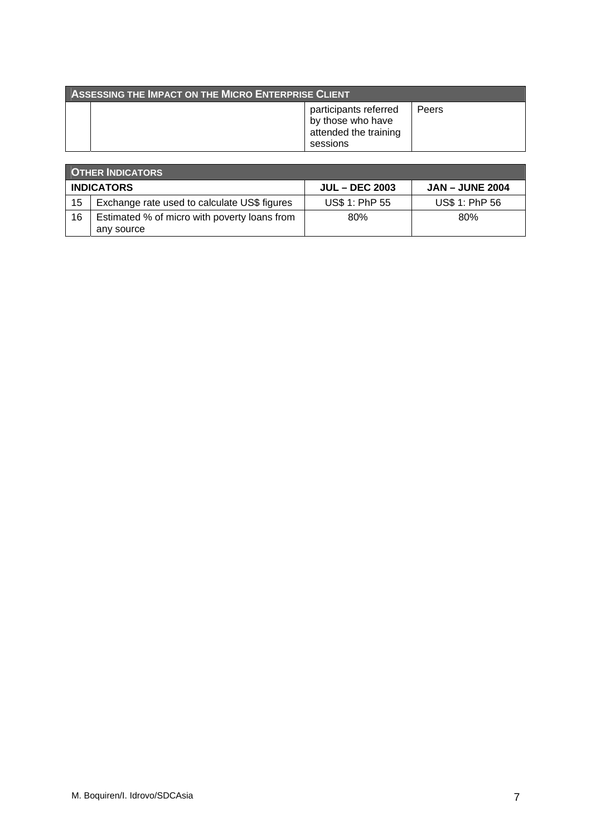| ASSESSING THE IMPACT ON THE MICRO ENTERPRISE CLIENT |                                                                                 |       |  |
|-----------------------------------------------------|---------------------------------------------------------------------------------|-------|--|
|                                                     | participants referred<br>by those who have<br>attended the training<br>sessions | Peers |  |

| <b>OTHER INDICATORS</b> |                                                            |                       |                        |
|-------------------------|------------------------------------------------------------|-----------------------|------------------------|
|                         | <b>INDICATORS</b>                                          | <b>JUL – DEC 2003</b> | <b>JAN – JUNE 2004</b> |
| 15                      | Exchange rate used to calculate US\$ figures               | US\$ 1: PhP 55        | US\$ 1: PhP 56         |
| 16                      | Estimated % of micro with poverty loans from<br>any source | 80%                   | 80%                    |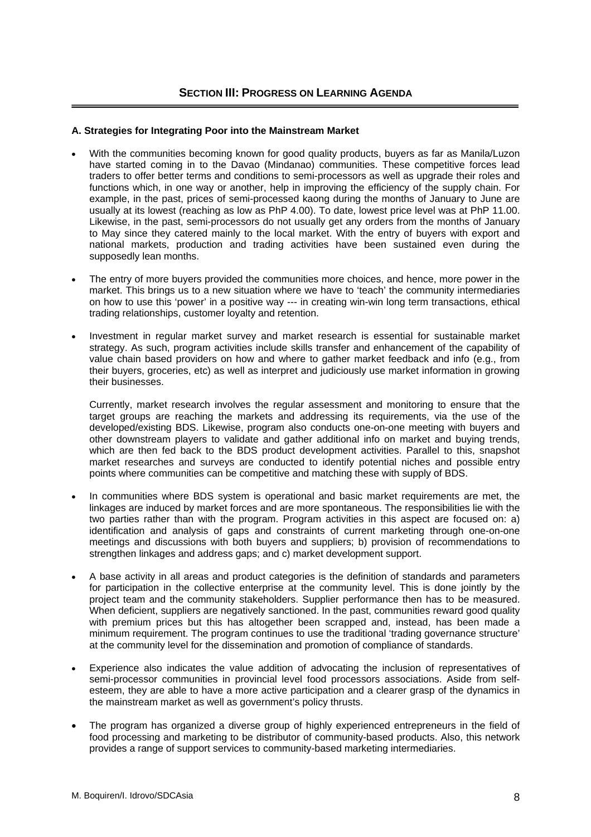## **. Strategies for Integrating Poor into the Mainstream Market A**

- With the communities becoming known for good quality products, buyers as far as Manila/Luzon • have started coming in to the Davao (Mindanao) communities. These competitive forces lead traders to offer better terms and conditions to semi-processors as well as upgrade their roles and functions which, in one way or another, help in improving the efficiency of the supply chain. For example, in the past, prices of semi-processed kaong during the months of January to June are usually at its lowest (reaching as low as PhP 4.00). To date, lowest price level was at PhP 11.00. Likewise, in the past, semi-processors do not usually get any orders from the months of January to May since they catered mainly to the local market. With the entry of buyers with export and national markets, production and trading activities have been sustained even during the supposedly lean months.
- The entry of more buyers provided the communities more choices, and hence, more power in the • market. This brings us to a new situation where we have to 'teach' the community intermediaries on how to use this 'power' in a positive way --- in creating win-win long term transactions, ethical trading relationships, customer loyalty and retention.
- Investment in regular market survey and market research is essential for sustainable market • strategy. As such, program activities include skills transfer and enhancement of the capability of value chain based providers on how and where to gather market feedback and info (e.g., from their buyers, groceries, etc) as well as interpret and judiciously use market information in growing their businesses.

Currently, market research involves the regular assessment and monitoring to ensure that the target groups are reaching the markets and addressing its requirements, via the use of the developed/existing BDS. Likewise, program also conducts one-on-one meeting with buyers and other downstream players to validate and gather additional info on market and buying trends, which are then fed back to the BDS product development activities. Parallel to this, snapshot market researches and surveys are conducted to identify potential niches and possible entry points where communities can be competitive and matching these with supply of BDS.

- In communities where BDS system is operational and basic market requirements are met, the linkages are induced by market forces and are more spontaneous. The responsibilities lie with the two parties rather than with the program. Program activities in this aspect are focused on: a) identification and analysis of gaps and constraints of current marketing through one-on-one meetings and discussions with both buyers and suppliers; b) provision of recommendations to strengthen linkages and address gaps; and c) market development support.
- A base activity in all areas and product categories is the definition of standards and parameters for participation in the collective enterprise at the community level. This is done jointly by the project team and the community stakeholders. Supplier performance then has to be measured. When deficient, suppliers are negatively sanctioned. In the past, communities reward good quality with premium prices but this has altogether been scrapped and, instead, has been made a minimum requirement. The program continues to use the traditional 'trading governance structure' at the community level for the dissemination and promotion of compliance of standards.
- Experience also indicates the value addition of advocating the inclusion of representatives of semi-processor communities in provincial level food processors associations. Aside from selfesteem, they are able to have a more active participation and a clearer grasp of the dynamics in the mainstream market as well as government's policy thrusts.
- The program has organized a diverse group of highly experienced entrepreneurs in the field of food processing and marketing to be distributor of community-based products. Also, this network provides a range of support services to community-based marketing intermediaries.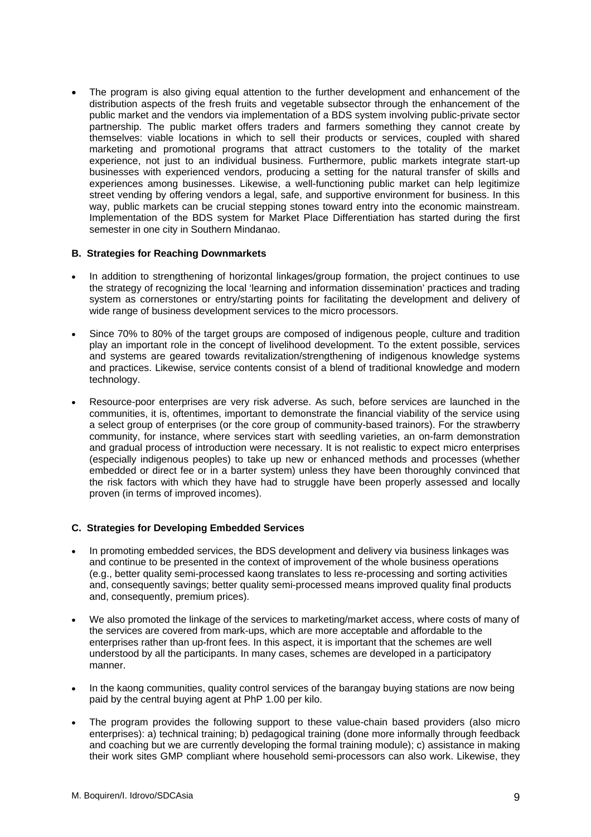The program is also giving equal attention to the further development and enhancement of the distribution aspects of the fresh fruits and vegetable subsector through the enhancement of the public market and the vendors via implementation of a BDS system involving public-private sector partnership. The public market offers traders and farmers something they cannot create by themselves: viable locations in which to sell their products or services, coupled with shared marketing and promotional programs that attract customers to the totality of the market experience, not just to an individual business. Furthermore, public markets integrate start-up businesses with experienced vendors, producing a setting for the natural transfer of skills and experiences among businesses. Likewise, a well-functioning public market can help legitimize street vending by offering vendors a legal, safe, and supportive environment for business. In this way, public markets can be crucial stepping stones toward entry into the economic mainstream. Implementation of the BDS system for Market Place Differentiation has started during the first semester in one city in Southern Mindanao.

## **B. Strategies for Reaching Downmarkets**

- In addition to strengthening of horizontal linkages/group formation, the project continues to use the strategy of recognizing the local 'learning and information dissemination' practices and trading system as cornerstones or entry/starting points for facilitating the development and delivery of • wide range of business development services to the micro processors.
- play an important role in the concept of livelihood development. To the extent possible, services and systems are geared towards revitalization/strengthening of indigenous knowledge systems Since 70% to 80% of the target groups are composed of indigenous people, culture and tradition and practices. Likewise, service contents consist of a blend of traditional knowledge and modern technology.
- communities, it is, oftentimes, important to demonstrate the financial viability of the service using a select group of enterprises (or the core group of community-based trainors). For the strawberry Resource-poor enterprises are very risk adverse. As such, before services are launched in the community, for instance, where services start with seedling varieties, an on-farm demonstration and gradual process of introduction were necessary. It is not realistic to expect micro enterprises (especially indigenous peoples) to take up new or enhanced methods and processes (whether embedded or direct fee or in a barter system) unless they have been thoroughly convinced that the risk factors with which they have had to struggle have been properly assessed and locally proven (in terms of improved incomes).

# **C.** Strategies for Developing Embedded Services

- In promoting embedded services, the BDS development and delivery via business linkages was and continue to be presented in the context of improvement of the whole business operations (e.g., better quality semi-processed kaong translates to less re-processing and sorting activities • and, consequently savings; better quality semi-processed means improved quality final products and, consequently, premium prices).
- We also promoted the linkage of the services to marketing/market access, where costs of many of enterprises rather than up-front fees. In this aspect, it is important that the schemes are well the services are covered from mark-ups, which are more acceptable and affordable to the understood by all the participants. In many cases, schemes are developed in a participatory manner.
- In the kaong communities, quality control services of the barangay buying stations are now being paid by the central buying agent at PhP 1.00 per kilo.
- and coaching but we are currently developing the formal training module); c) assistance in making their work sites GMP compliant where household semi-processors can also work. Likewise, they • The program provides the following support to these value-chain based providers (also micro enterprises): a) technical training; b) pedagogical training (done more informally through feedback